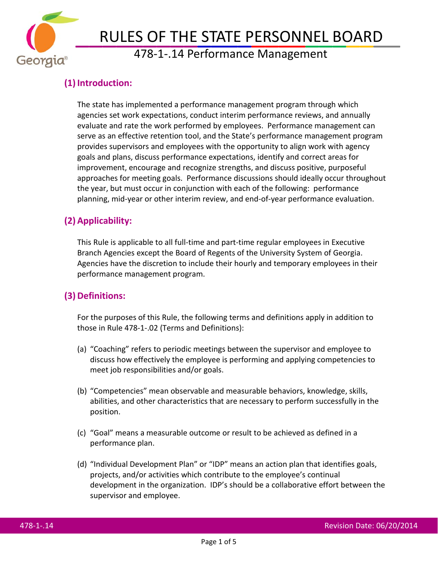

# RULES OF THE STATE PERSONNEL BOARD<br>478-1-.14 Performance Management

# **(1) Introduction:**

The state has implemented a performance management program through which agencies set work expectations, conduct interim performance reviews, and annually evaluate and rate the work performed by employees. Performance management can serve as an effective retention tool, and the State's performance management program provides supervisors and employees with the opportunity to align work with agency goals and plans, discuss performance expectations, identify and correct areas for improvement, encourage and recognize strengths, and discuss positive, purposeful approaches for meeting goals. Performance discussions should ideally occur throughout the year, but must occur in conjunction with each of the following: performance planning, mid-year or other interim review, and end-of-year performance evaluation.

# **(2) Applicability:**

This Rule is applicable to all full-time and part-time regular employees in Executive Branch Agencies except the Board of Regents of the University System of Georgia. Agencies have the discretion to include their hourly and temporary employees in their performance management program.

## **(3) Definitions:**

For the purposes of this Rule, the following terms and definitions apply in addition to those in Rule 478-1-.02 (Terms and Definitions):

- (a) "Coaching" refers to periodic meetings between the supervisor and employee to discuss how effectively the employee is performing and applying competencies to meet job responsibilities and/or goals.
- (b) "Competencies" mean observable and measurable behaviors, knowledge, skills, abilities, and other characteristics that are necessary to perform successfully in the position.
- (c) "Goal" means a measurable outcome or result to be achieved as defined in a performance plan.
- (d) "Individual Development Plan" or "IDP" means an action plan that identifies goals, projects, and/or activities which contribute to the employee's continual development in the organization. IDP's should be a collaborative effort between the supervisor and employee.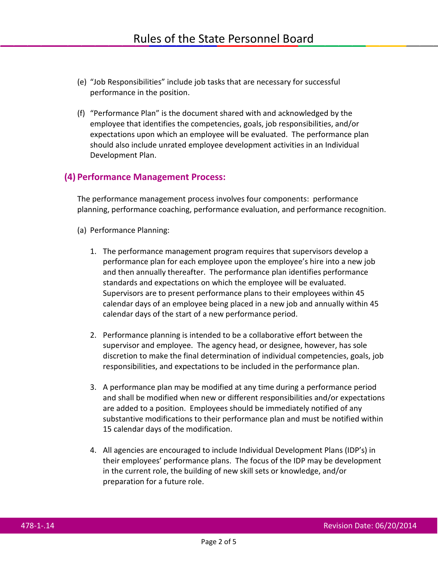- (e) "Job Responsibilities" include job tasks that are necessary for successful performance in the position.
- (f) "Performance Plan" is the document shared with and acknowledged by the employee that identifies the competencies, goals, job responsibilities, and/or expectations upon which an employee will be evaluated. The performance plan should also include unrated employee development activities in an Individual Development Plan.

#### **(4) Performance Management Process:**

The performance management process involves four components: performance planning, performance coaching, performance evaluation, and performance recognition.

- (a) Performance Planning:
	- 1. The performance management program requires that supervisors develop a performance plan for each employee upon the employee's hire into a new job and then annually thereafter. The performance plan identifies performance standards and expectations on which the employee will be evaluated. Supervisors are to present performance plans to their employees within 45 calendar days of an employee being placed in a new job and annually within 45 calendar days of the start of a new performance period.
	- 2. Performance planning is intended to be a collaborative effort between the supervisor and employee. The agency head, or designee, however, has sole discretion to make the final determination of individual competencies, goals, job responsibilities, and expectations to be included in the performance plan.
	- 3. A performance plan may be modified at any time during a performance period and shall be modified when new or different responsibilities and/or expectations are added to a position. Employees should be immediately notified of any substantive modifications to their performance plan and must be notified within 15 calendar days of the modification.
	- 4. All agencies are encouraged to include Individual Development Plans (IDP's) in their employees' performance plans. The focus of the IDP may be development in the current role, the building of new skill sets or knowledge, and/or preparation for a future role.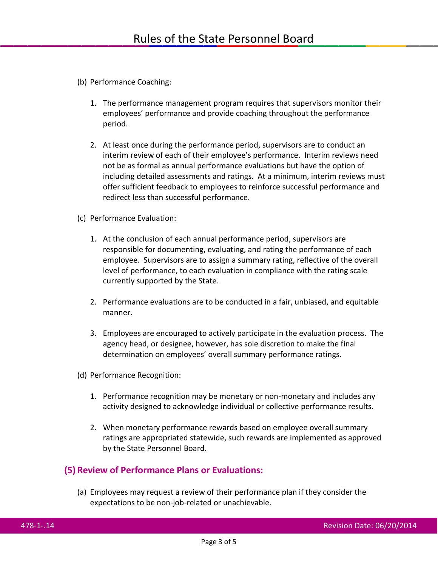- (b) Performance Coaching:
	- 1. The performance management program requires that supervisors monitor their employees' performance and provide coaching throughout the performance period.
	- 2. At least once during the performance period, supervisors are to conduct an interim review of each of their employee's performance. Interim reviews need not be as formal as annual performance evaluations but have the option of including detailed assessments and ratings. At a minimum, interim reviews must offer sufficient feedback to employees to reinforce successful performance and redirect less than successful performance.
- (c) Performance Evaluation:
	- 1. At the conclusion of each annual performance period, supervisors are responsible for documenting, evaluating, and rating the performance of each employee. Supervisors are to assign a summary rating, reflective of the overall level of performance, to each evaluation in compliance with the rating scale currently supported by the State.
	- 2. Performance evaluations are to be conducted in a fair, unbiased, and equitable manner.
	- 3. Employees are encouraged to actively participate in the evaluation process. The agency head, or designee, however, has sole discretion to make the final determination on employees' overall summary performance ratings.
- (d) Performance Recognition:
	- 1. Performance recognition may be monetary or non-monetary and includes any activity designed to acknowledge individual or collective performance results.
	- 2. When monetary performance rewards based on employee overall summary ratings are appropriated statewide, such rewards are implemented as approved by the State Personnel Board.

#### **(5) Review of Performance Plans or Evaluations:**

(a) Employees may request a review of their performance plan if they consider the expectations to be non-job-related or unachievable.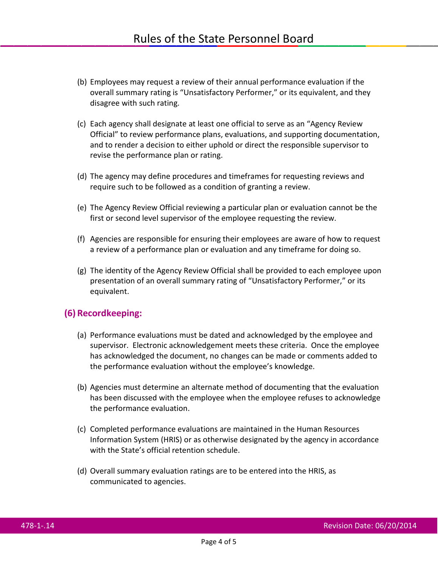- (b) Employees may request a review of their annual performance evaluation if the overall summary rating is "Unsatisfactory Performer," or its equivalent, and they disagree with such rating.
- (c) Each agency shall designate at least one official to serve as an "Agency Review Official" to review performance plans, evaluations, and supporting documentation, and to render a decision to either uphold or direct the responsible supervisor to revise the performance plan or rating.
- (d) The agency may define procedures and timeframes for requesting reviews and require such to be followed as a condition of granting a review.
- (e) The Agency Review Official reviewing a particular plan or evaluation cannot be the first or second level supervisor of the employee requesting the review.
- (f) Agencies are responsible for ensuring their employees are aware of how to request a review of a performance plan or evaluation and any timeframe for doing so.
- (g) The identity of the Agency Review Official shall be provided to each employee upon presentation of an overall summary rating of "Unsatisfactory Performer," or its equivalent.

#### **(6) Recordkeeping:**

- (a) Performance evaluations must be dated and acknowledged by the employee and supervisor. Electronic acknowledgement meets these criteria. Once the employee has acknowledged the document, no changes can be made or comments added to the performance evaluation without the employee's knowledge.
- (b) Agencies must determine an alternate method of documenting that the evaluation has been discussed with the employee when the employee refuses to acknowledge the performance evaluation.
- (c) Completed performance evaluations are maintained in the Human Resources Information System (HRIS) or as otherwise designated by the agency in accordance with the State's official retention schedule.
- (d) Overall summary evaluation ratings are to be entered into the HRIS, as communicated to agencies.